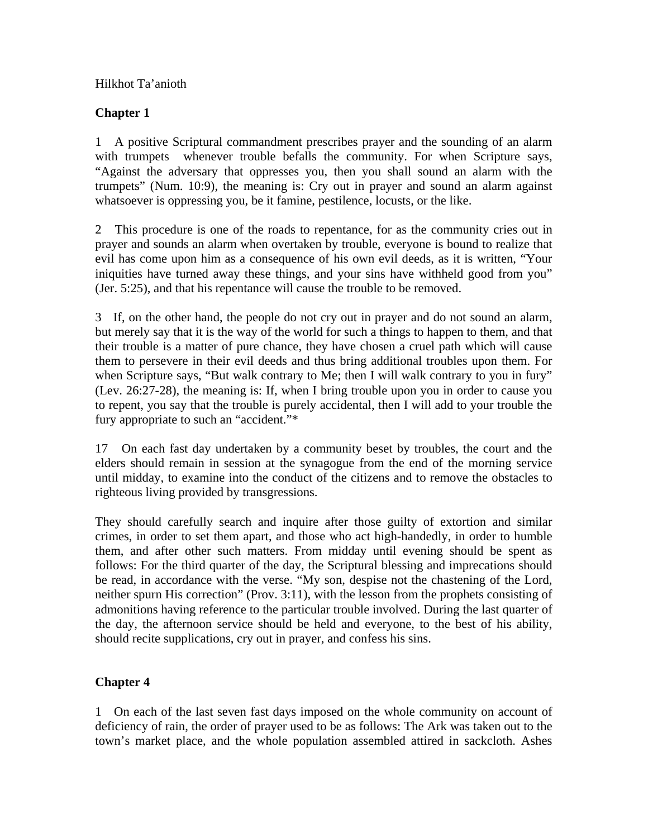## Hilkhot Ta'anioth

## **Chapter 1**

1 A positive Scriptural commandment prescribes prayer and the sounding of an alarm with trumpets whenever trouble befalls the community. For when Scripture says, "Against the adversary that oppresses you, then you shall sound an alarm with the trumpets" (Num. 10:9), the meaning is: Cry out in prayer and sound an alarm against whatsoever is oppressing you, be it famine, pestilence, locusts, or the like.

2 This procedure is one of the roads to repentance, for as the community cries out in prayer and sounds an alarm when overtaken by trouble, everyone is bound to realize that evil has come upon him as a consequence of his own evil deeds, as it is written, "Your iniquities have turned away these things, and your sins have withheld good from you" (Jer. 5:25), and that his repentance will cause the trouble to be removed.

3 If, on the other hand, the people do not cry out in prayer and do not sound an alarm, but merely say that it is the way of the world for such a things to happen to them, and that their trouble is a matter of pure chance, they have chosen a cruel path which will cause them to persevere in their evil deeds and thus bring additional troubles upon them. For when Scripture says, "But walk contrary to Me; then I will walk contrary to you in fury" (Lev. 26:27-28), the meaning is: If, when I bring trouble upon you in order to cause you to repent, you say that the trouble is purely accidental, then I will add to your trouble the fury appropriate to such an "accident."\*

17 On each fast day undertaken by a community beset by troubles, the court and the elders should remain in session at the synagogue from the end of the morning service until midday, to examine into the conduct of the citizens and to remove the obstacles to righteous living provided by transgressions.

They should carefully search and inquire after those guilty of extortion and similar crimes, in order to set them apart, and those who act high-handedly, in order to humble them, and after other such matters. From midday until evening should be spent as follows: For the third quarter of the day, the Scriptural blessing and imprecations should be read, in accordance with the verse. "My son, despise not the chastening of the Lord, neither spurn His correction" (Prov. 3:11), with the lesson from the prophets consisting of admonitions having reference to the particular trouble involved. During the last quarter of the day, the afternoon service should be held and everyone, to the best of his ability, should recite supplications, cry out in prayer, and confess his sins.

## **Chapter 4**

1 On each of the last seven fast days imposed on the whole community on account of deficiency of rain, the order of prayer used to be as follows: The Ark was taken out to the town's market place, and the whole population assembled attired in sackcloth. Ashes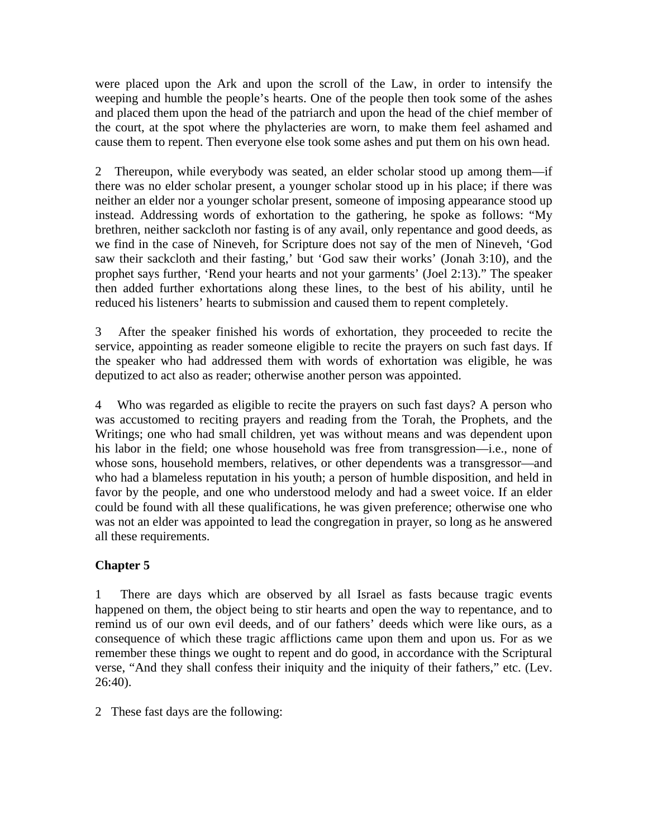were placed upon the Ark and upon the scroll of the Law, in order to intensify the weeping and humble the people's hearts. One of the people then took some of the ashes and placed them upon the head of the patriarch and upon the head of the chief member of the court, at the spot where the phylacteries are worn, to make them feel ashamed and cause them to repent. Then everyone else took some ashes and put them on his own head.

2 Thereupon, while everybody was seated, an elder scholar stood up among them—if there was no elder scholar present, a younger scholar stood up in his place; if there was neither an elder nor a younger scholar present, someone of imposing appearance stood up instead. Addressing words of exhortation to the gathering, he spoke as follows: "My brethren, neither sackcloth nor fasting is of any avail, only repentance and good deeds, as we find in the case of Nineveh, for Scripture does not say of the men of Nineveh, 'God saw their sackcloth and their fasting,' but 'God saw their works' (Jonah 3:10), and the prophet says further, 'Rend your hearts and not your garments' (Joel 2:13)." The speaker then added further exhortations along these lines, to the best of his ability, until he reduced his listeners' hearts to submission and caused them to repent completely.

3 After the speaker finished his words of exhortation, they proceeded to recite the service, appointing as reader someone eligible to recite the prayers on such fast days. If the speaker who had addressed them with words of exhortation was eligible, he was deputized to act also as reader; otherwise another person was appointed.

4 Who was regarded as eligible to recite the prayers on such fast days? A person who was accustomed to reciting prayers and reading from the Torah, the Prophets, and the Writings; one who had small children, yet was without means and was dependent upon his labor in the field; one whose household was free from transgression—i.e., none of whose sons, household members, relatives, or other dependents was a transgressor—and who had a blameless reputation in his youth; a person of humble disposition, and held in favor by the people, and one who understood melody and had a sweet voice. If an elder could be found with all these qualifications, he was given preference; otherwise one who was not an elder was appointed to lead the congregation in prayer, so long as he answered all these requirements.

## **Chapter 5**

1 There are days which are observed by all Israel as fasts because tragic events happened on them, the object being to stir hearts and open the way to repentance, and to remind us of our own evil deeds, and of our fathers' deeds which were like ours, as a consequence of which these tragic afflictions came upon them and upon us. For as we remember these things we ought to repent and do good, in accordance with the Scriptural verse, "And they shall confess their iniquity and the iniquity of their fathers," etc. (Lev. 26:40).

2 These fast days are the following: